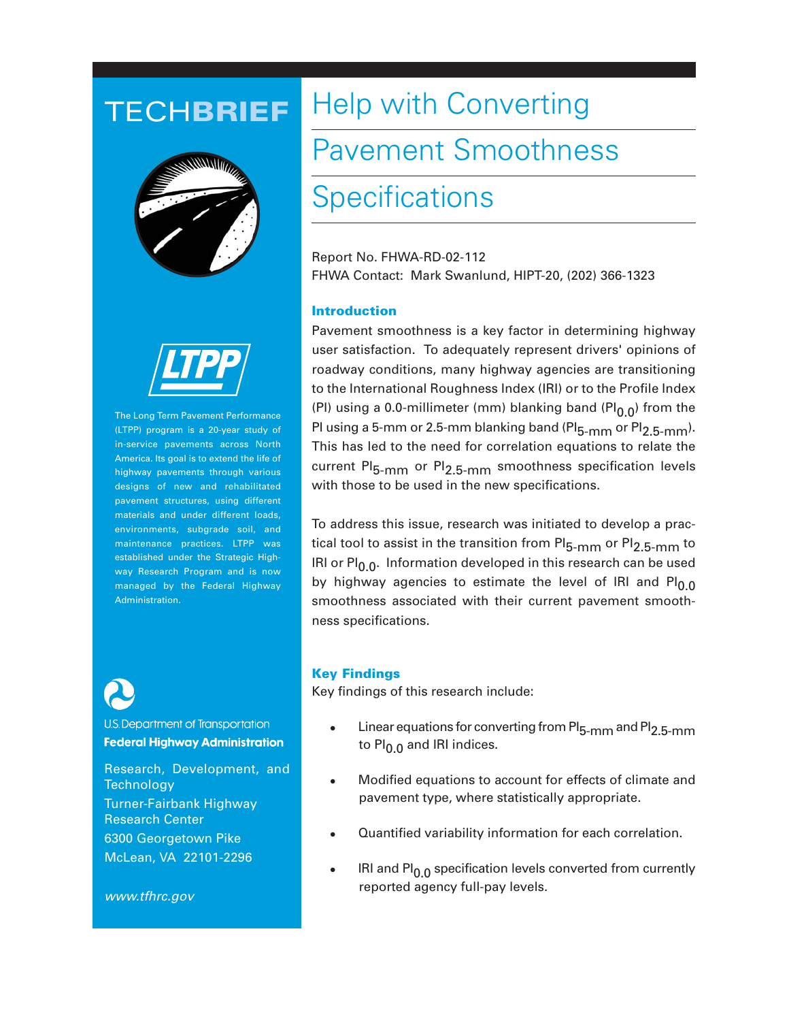## TECH**BRIEF**





The Long Term Pavement Performance (LTPP) program is a 20-year study of in-service pavements across North America. Its goal is to extend the life of highway pavements through various designs of new and rehabilitated pavement structures, using different materials and under different loads, environments, subgrade soil, and maintenance practices. LTPP was established under the Strategic Highway Research Program and is now managed by the Federal Highway Administration.



U.S. Department of Transportation **Federal Highway Administration** 

Research, Development, and **Technology** Turner-Fairbank Highway Research Center 6300 Georgetown Pike McLean, VA 22101-2296

*www.tfhrc.gov*

# Help with Converting

# Pavement Smoothness

## **Specifications**

Report No. FHWA-RD-02-112 FHWA Contact: Mark Swanlund, HIPT-20, (202) 366-1323

### **Introduction**

Pavement smoothness is a key factor in determining highway user satisfaction. To adequately represent drivers' opinions of roadway conditions, many highway agencies are transitioning to the International Roughness Index (IRI) or to the Profile Index (PI) using a 0.0-millimeter (mm) blanking band (PI $_{0.0}$ ) from the PI using a 5-mm or 2.5-mm blanking band ( $PI_{5-mm}$  or  $PI_{2.5-mm}$ ). This has led to the need for correlation equations to relate the current PI<sub>5-mm</sub> or PI<sub>2.5-mm</sub> smoothness specification levels with those to be used in the new specifications.

To address this issue, research was initiated to develop a practical tool to assist in the transition from PI<sub>5-mm</sub> or PI<sub>2.5-mm</sub> to IRI or PI $_{0.0}$ . Information developed in this research can be used by highway agencies to estimate the level of IRI and PI $_0$  o smoothness associated with their current pavement smoothness specifications.

#### **Key Findings**

Key findings of this research include:

- Linear equations for converting from PI<sub>5-mm</sub> and PI<sub>2.5-mm</sub> to Pl $_0$   $_0$  and IRI indices.
- Modified equations to account for effects of climate and pavement type, where statistically appropriate.
- Quantified variability information for each correlation.
- IRI and  $PI_{0.0}$  specification levels converted from currently reported agency full-pay levels.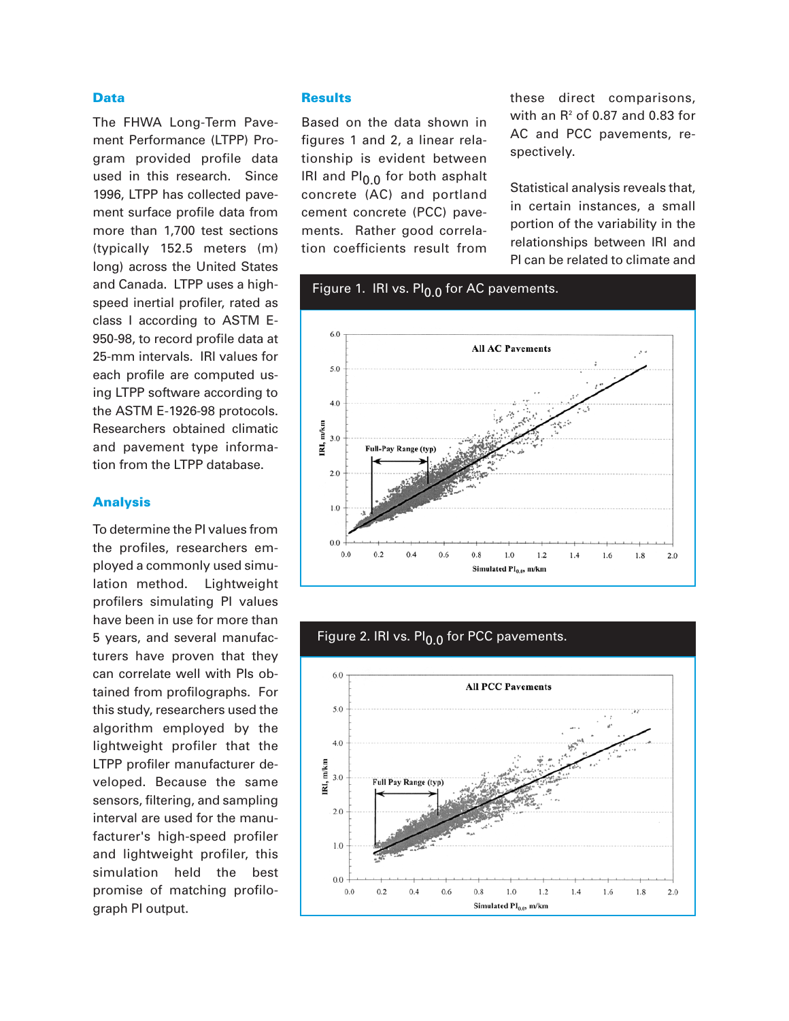#### **Data**

The FHWA Long-Term Pavement Performance (LTPP) Program provided profile data used in this research. Since 1996, LTPP has collected pavement surface profile data from more than 1,700 test sections (typically 152.5 meters (m) long) across the United States and Canada. LTPP uses a highspeed inertial profiler, rated as class I according to ASTM E-950-98, to record profile data at 25-mm intervals. IRI values for each profile are computed using LTPP software according to the ASTM E-1926-98 protocols. Researchers obtained climatic and pavement type information from the LTPP database.

#### **Analysis**

To determine the PI values from the profiles, researchers employed a commonly used simulation method. Lightweight profilers simulating PI values have been in use for more than 5 years, and several manufacturers have proven that they can correlate well with PIs obtained from profilographs. For this study, researchers used the algorithm employed by the lightweight profiler that the LTPP profiler manufacturer developed. Because the same sensors, filtering, and sampling interval are used for the manufacturer's high-speed profiler and lightweight profiler, this simulation held the best promise of matching profilograph PI output.

#### **Results**

Based on the data shown in figures 1 and 2, a linear relationship is evident between IRI and PI<sub>0.0</sub> for both asphalt concrete (AC) and portland cement concrete (PCC) pavements. Rather good correlation coefficients result from

these direct comparisons, with an  $R^2$  of 0.87 and 0.83 for AC and PCC pavements, respectively.

Statistical analysis reveals that, in certain instances, a small portion of the variability in the relationships between IRI and PI can be related to climate and



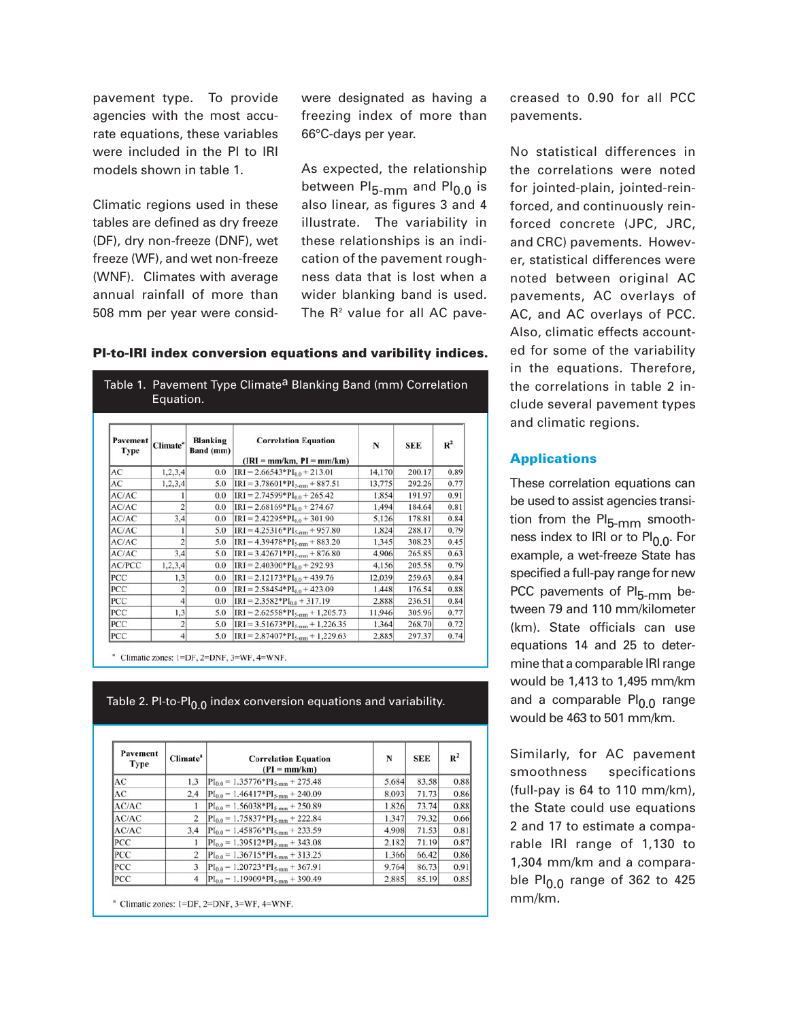pavement type. To provide agencies with the most accurate equations, these variables were included in the PI to IRI models shown in table 1.

Climatic regions used in these tables are defined as dry freeze (DF), dry non-freeze (DNF), wet freeze (WF), and wet non-freeze (WNF). Climates with average annual rainfall of more than 508 mm per year were considwere designated as having a freezing index of more than 66°C-days per year.

As expected, the relationship between PI<sub>5-mm</sub> and PI<sub>0.0</sub> is also linear, as figures 3 and 4 illustrate. The variability in these relationships is an indication of the pavement roughness data that is lost when a wider blanking band is used. The  $R<sup>2</sup>$  value for all AC pave-

| Pavement<br><b>Type</b> | Climate <sup>a</sup> | <b>Blanking</b><br>Band (mm) | <b>Correlation Equation</b><br>$(IRI = mm/km, PI = mm/km)$ | N      | <b>SEE</b> | $R^2$ |
|-------------------------|----------------------|------------------------------|------------------------------------------------------------|--------|------------|-------|
| AC                      | 1,2,3,4              | 0.0                          | $IRI = 2.66543*PI_{0.0} + 213.01$                          | 14,170 | 200.17     | 0.89  |
| AC                      | 1,2,3,4              | 5.0                          | $IRI = 3.78601*PI5-nm + 887.51$                            | 13,775 | 292.26     | 0.77  |
| AC/AC                   | 1                    | 0.0                          | $IRI = 2.74599*PI_{0.0} + 265.42$                          | 1,854  | 191.97     | 0.91  |
| AC/AC                   | $\overline{2}$       | 0.0                          | $IRI = 2.68169*PI_{0.0} + 274.67$                          | 1.494  | 184.64     | 0.81  |
| AC/AC                   | 3,4                  | 0.0                          | $IRI = 2.42295*PI_{0.0} + 301.90$                          | 5,126  | 178.81     | 0.84  |
| AC/AC                   | ı                    | 5.0                          | $IRI = 4.25316*PI5-nm + 957.80$                            | 1,824  | 288.17     | 0.79  |
| AC/AC                   | $\overline{2}$       | 5.0                          | $IRI = 4.39478*PI_{5,mm} + 883.20$                         | 1.345  | 308.23     | 0.45  |
| AC/AC                   | 3.4                  | 5.0                          | $IRI = 3.42671*PI5-mm + 876.80$                            | 4.906  | 265.85     | 0.63  |
| <b>AC/PCC</b>           | 1,2,3,4              | 0.0                          | $IRI = 2.40300*PI_{0.0} + 292.93$                          | 4,156  | 205.58     | 0.79  |
| PCC                     | 1.3                  | 0.0                          | $IRI = 2.12173*PI0.0 + 439.76$                             | 12,039 | 259.63     | 0.84  |
| <b>PCC</b>              | 2                    | 0.0                          | $IRI = 2.58454*PI0.0 + 423.09$                             | 1,448  | 176.54     | 0.88  |
| PCC                     | $\overline{4}$       | 0.0                          | $IRI = 2.3582*PI0.0 + 317.19$                              | 2,888  | 236.51     | 0.84  |
| PCC                     | 1,3                  | 5.0                          | $IRI = 2.62558*PI_{5,mm} + 1,205.73$                       | 11,946 | 305.96     | 0.77  |
| PCC                     | $\overline{c}$       | 5.0                          | $IRI = 3.51673*PI_{5\text{mm}} + 1,226.35$                 | 1.364  | 268.70     | 0.72  |
| PCC                     | 4                    | 5.0                          | $IRI = 2.87407*PI5-mm + 1,229.63$                          | 2,885  | 297.37     | 0.74  |

#### **PI-to-IRI index conversion equations and varibility indices.**

Table 1. Pavement Type Climate<sup>a</sup> Blanking Band (mm) Correlation

<sup>a</sup> Climatic zones: 1=DF, 2=DNF, 3=WF, 4=WNF.

Table 2. Pl-to-Pl $_{0.0}$  index conversion equations and variability.

| Pavement<br>Type | Climate <sup>a</sup> | <b>Correlation Equation</b><br>$(PI = mm/km)$  | N     | <b>SEE</b> | $R^2$ |
|------------------|----------------------|------------------------------------------------|-------|------------|-------|
| AC               | 1.3                  | $PI_{0.0} = 1.35776*PI_{5\text{-mm}} + 275.48$ | 5,684 | 83.58      | 0.88  |
| AC               | 2.4                  | $PI_{0.0} = 1.46417*PI_{5\text{-mm}} + 240.09$ | 8.093 | 71.73      | 0.86  |
| AC/AC            |                      | $PI_{0.0} = 1.56038*PI_{5,mm} + 250.89$        | 1.826 | 73.74      | 0.88  |
| AC/AC            | 2                    | $PI_{0.0} = 1.75837*PI_{5\text{-mm}} + 222.84$ | 1.347 | 79.32      | 0.66  |
| AC/AC            | 3.4                  | $PI_{0.0} = 1.45876*PI_{5,mm} + 233.59$        | 4.908 | 71.53      | 0.81  |
| <b>PCC</b>       |                      | $PI_{0.0} = 1.39512*PI_{5\text{-mm}} + 343.08$ | 2.182 | 71.19      | 0.87  |
| PCC              | 2                    | $PI_{0.0} = 1.36715*PI_{5\text{-mm}} + 313.25$ | 1.366 | 66.42      | 0.86  |
| PCC              | 3                    | $PI_{0.0} = 1.20723*PI_{5 \text{mm}} + 367.91$ | 9,764 | 86.73      | 0.91  |
| PCC              |                      | $PI_{0.0} = 1.19909*PI_{5\text{-mm}} + 390.49$ | 2,885 | 85.19      | 0.85  |

 $^a$  Climatic zones: 1=DF, 2=DNF, 3=WF, 4=WNF.

creased to 0.90 for all PCC pavements.

No statistical differences in the correlations were noted for jointed-plain, jointed-reinforced, and continuously reinforced concrete (JPC, JRC, and CRC) pavements. However, statistical differences were noted between original AC pavements, AC overlays of AC, and AC overlays of PCC. Also, climatic effects accounted for some of the variability in the equations. Therefore, the correlations in table 2 include several pavement types and climatic regions.

### **Applications**

These correlation equations can be used to assist agencies transition from the PI<sub>5-mm</sub> smoothness index to IRI or to  $PI<sub>0.0</sub>$ . For example, a wet-freeze State has specified a full-pay range for new PCC pavements of PI<sub>5-mm</sub> between 79 and 110 mm/kilometer (km). State officials can use equations 14 and 25 to determine that a comparable IRI range would be 1,413 to 1,495 mm/km and a comparable  $PI_{0.0}$  range would be 463 to 501 mm/km.

Similarly, for AC pavement smoothness specifications (full-pay is 64 to 110 mm/km), the State could use equations 2 and 17 to estimate a comparable IRI range of 1,130 to 1,304 mm/km and a comparable Pl<sub>0.0</sub> range of 362 to 425 mm/km.